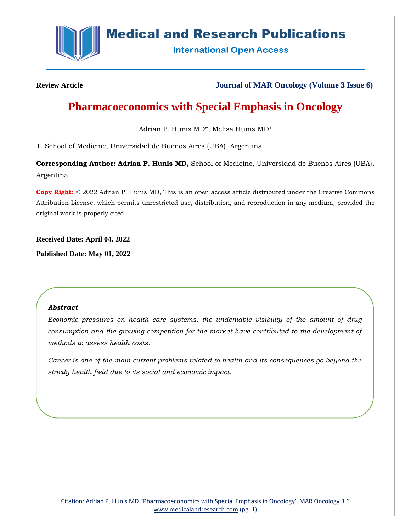

# **Medical and Research Publications**

**International Open Access** 

**Review Article Journal of MAR Oncology (Volume 3 Issue 6)**

# **Pharmacoeconomics with Special Emphasis in Oncology**

Adrian P. Hunis MD\*, Melisa Hunis MD<sup>1</sup>

1. School of Medicine, Universidad de Buenos Aires (UBA), Argentina

**Corresponding Author: Adrian P. Hunis MD,** School of Medicine, Universidad de Buenos Aires (UBA), Argentina.

**Copy Right:** © 2022 Adrian P. Hunis MD, This is an open access article distributed under the Creative Commons Attribution License, which permits unrestricted use, distribution, and reproduction in any medium, provided the original work is properly cited.

**Received Date: April 04, 2022**

**Published Date: May 01, 2022**

### *Abstract*

*Economic pressures on health care systems, the undeniable visibility of the amount of drug consumption and the growing competition for the market have contributed to the development of methods to assess health costs.*

*Cancer is one of the main current problems related to health and its consequences go beyond the strictly health field due to its social and economic impact.*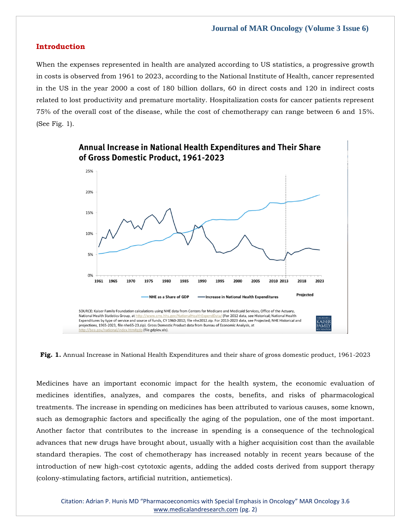## **Introduction**

When the expenses represented in health are analyzed according to US statistics, a progressive growth in costs is observed from 1961 to 2023, according to the National Institute of Health, cancer represented in the US in the year 2000 a cost of 180 billion dollars, 60 in direct costs and 120 in indirect costs related to lost productivity and premature mortality. Hospitalization costs for cancer patients represent 75% of the overall cost of the disease, while the cost of chemotherapy can range between 6 and 15%. (See Fig. 1).



**Annual Increase in National Health Expenditures and Their Share** 

**Fig. 1.** Annual Increase in National Health Expenditures and their share of gross domestic product, 1961-2023

Medicines have an important economic impact for the health system, the economic evaluation of medicines identifies, analyzes, and compares the costs, benefits, and risks of pharmacological treatments. The increase in spending on medicines has been attributed to various causes, some known, such as demographic factors and specifically the aging of the population, one of the most important. Another factor that contributes to the increase in spending is a consequence of the technological advances that new drugs have brought about, usually with a higher acquisition cost than the available standard therapies. The cost of chemotherapy has increased notably in recent years because of the introduction of new high-cost cytotoxic agents, adding the added costs derived from support therapy (colony-stimulating factors, artificial nutrition, antiemetics).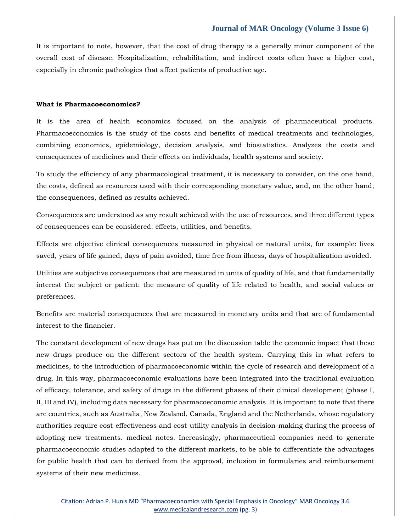It is important to note, however, that the cost of drug therapy is a generally minor component of the overall cost of disease. Hospitalization, rehabilitation, and indirect costs often have a higher cost, especially in chronic pathologies that affect patients of productive age.

#### **What is Pharmacoeconomics?**

It is the area of health economics focused on the analysis of pharmaceutical products. Pharmacoeconomics is the study of the costs and benefits of medical treatments and technologies, combining economics, epidemiology, decision analysis, and biostatistics. Analyzes the costs and consequences of medicines and their effects on individuals, health systems and society.

To study the efficiency of any pharmacological treatment, it is necessary to consider, on the one hand, the costs, defined as resources used with their corresponding monetary value, and, on the other hand, the consequences, defined as results achieved.

Consequences are understood as any result achieved with the use of resources, and three different types of consequences can be considered: effects, utilities, and benefits.

Effects are objective clinical consequences measured in physical or natural units, for example: lives saved, years of life gained, days of pain avoided, time free from illness, days of hospitalization avoided.

Utilities are subjective consequences that are measured in units of quality of life, and that fundamentally interest the subject or patient: the measure of quality of life related to health, and social values or preferences.

Benefits are material consequences that are measured in monetary units and that are of fundamental interest to the financier.

The constant development of new drugs has put on the discussion table the economic impact that these new drugs produce on the different sectors of the health system. Carrying this in what refers to medicines, to the introduction of pharmacoeconomic within the cycle of research and development of a drug. In this way, pharmacoeconomic evaluations have been integrated into the traditional evaluation of efficacy, tolerance, and safety of drugs in the different phases of their clinical development (phase I, II, III and IV), including data necessary for pharmacoeconomic analysis. It is important to note that there are countries, such as Australia, New Zealand, Canada, England and the Netherlands, whose regulatory authorities require cost-effectiveness and cost-utility analysis in decision-making during the process of adopting new treatments. medical notes. Increasingly, pharmaceutical companies need to generate pharmacoeconomic studies adapted to the different markets, to be able to differentiate the advantages for public health that can be derived from the approval, inclusion in formularies and reimbursement systems of their new medicines.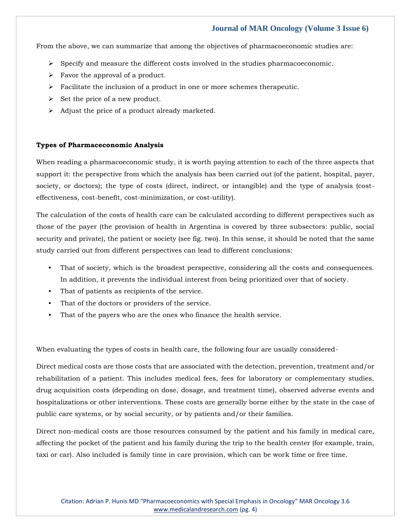From the above, we can summarize that among the objectives of pharmacoeconomic studies are:

- $\triangleright$  Specify and measure the different costs involved in the studies pharmacoeconomic.
- $\triangleright$  Favor the approval of a product.
- $\triangleright$  Facilitate the inclusion of a product in one or more schemes therapeutic.
- $\triangleright$  Set the price of a new product.
- ➢ Adjust the price of a product already marketed.

#### **Types of Pharmaceconomic Analysis**

When reading a pharmacoeconomic study, it is worth paying attention to each of the three aspects that support it: the perspective from which the analysis has been carried out (of the patient, hospital, payer, society, or doctors); the type of costs (direct, indirect, or intangible) and the type of analysis (costeffectiveness, cost-benefit, cost-minimization, or cost-utility).

The calculation of the costs of health care can be calculated according to different perspectives such as those of the payer (the provision of health in Argentina is covered by three subsectors: public, social security and private), the patient or society (see fig. two). In this sense, it should be noted that the same study carried out from different perspectives can lead to different conclusions:

- That of society, which is the broadest perspective, considering all the costs and consequences. In addition, it prevents the individual interest from being prioritized over that of society.
- That of patients as recipients of the service.
- That of the doctors or providers of the service.
- That of the payers who are the ones who finance the health service.

When evaluating the types of costs in health care, the following four are usually considered-

Direct medical costs are those costs that are associated with the detection, prevention, treatment and/or rehabilitation of a patient. This includes medical fees, fees for laboratory or complementary studies, drug acquisition costs (depending on dose, dosage, and treatment time), observed adverse events and hospitalizations or other interventions. These costs are generally borne either by the state in the case of public care systems, or by social security, or by patients and/or their families.

Direct non-medical costs are those resources consumed by the patient and his family in medical care, affecting the pocket of the patient and his family during the trip to the health center (for example, train, taxi or car). Also included is family time in care provision, which can be work time or free time.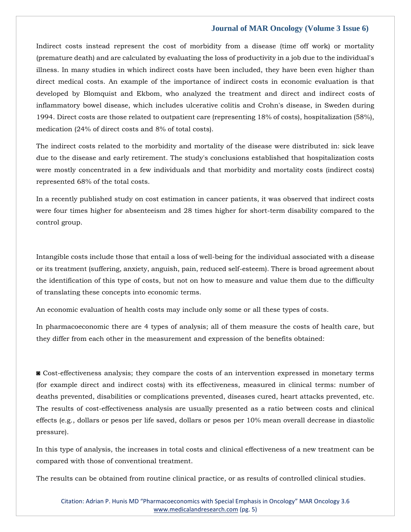Indirect costs instead represent the cost of morbidity from a disease (time off work) or mortality (premature death) and are calculated by evaluating the loss of productivity in a job due to the individual's illness. In many studies in which indirect costs have been included, they have been even higher than direct medical costs. An example of the importance of indirect costs in economic evaluation is that developed by Blomquist and Ekbom, who analyzed the treatment and direct and indirect costs of inflammatory bowel disease, which includes ulcerative colitis and Crohn's disease, in Sweden during 1994. Direct costs are those related to outpatient care (representing 18% of costs), hospitalization (58%), medication (24% of direct costs and 8% of total costs).

The indirect costs related to the morbidity and mortality of the disease were distributed in: sick leave due to the disease and early retirement. The study's conclusions established that hospitalization costs were mostly concentrated in a few individuals and that morbidity and mortality costs (indirect costs) represented 68% of the total costs.

In a recently published study on cost estimation in cancer patients, it was observed that indirect costs were four times higher for absenteeism and 28 times higher for short-term disability compared to the control group.

Intangible costs include those that entail a loss of well-being for the individual associated with a disease or its treatment (suffering, anxiety, anguish, pain, reduced self-esteem). There is broad agreement about the identification of this type of costs, but not on how to measure and value them due to the difficulty of translating these concepts into economic terms.

An economic evaluation of health costs may include only some or all these types of costs.

In pharmacoeconomic there are 4 types of analysis; all of them measure the costs of health care, but they differ from each other in the measurement and expression of the benefits obtained:

◙ Cost-effectiveness analysis; they compare the costs of an intervention expressed in monetary terms (for example direct and indirect costs) with its effectiveness, measured in clinical terms: number of deaths prevented, disabilities or complications prevented, diseases cured, heart attacks prevented, etc. The results of cost-effectiveness analysis are usually presented as a ratio between costs and clinical effects (e.g., dollars or pesos per life saved, dollars or pesos per 10% mean overall decrease in diastolic pressure).

In this type of analysis, the increases in total costs and clinical effectiveness of a new treatment can be compared with those of conventional treatment.

The results can be obtained from routine clinical practice, or as results of controlled clinical studies.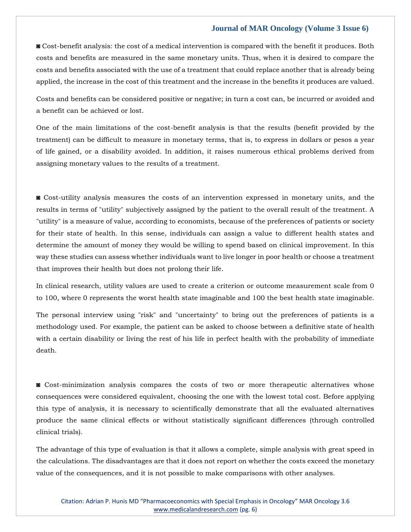◙ Cost-benefit analysis: the cost of a medical intervention is compared with the benefit it produces. Both costs and benefits are measured in the same monetary units. Thus, when it is desired to compare the costs and benefits associated with the use of a treatment that could replace another that is already being applied, the increase in the cost of this treatment and the increase in the benefits it produces are valued.

Costs and benefits can be considered positive or negative; in turn a cost can, be incurred or avoided and a benefit can be achieved or lost.

One of the main limitations of the cost-benefit analysis is that the results (benefit provided by the treatment) can be difficult to measure in monetary terms, that is, to express in dollars or pesos a year of life gained, or a disability avoided. In addition, it raises numerous ethical problems derived from assigning monetary values to the results of a treatment.

◙ Cost-utility analysis measures the costs of an intervention expressed in monetary units, and the results in terms of "utility" subjectively assigned by the patient to the overall result of the treatment. A "utility" is a measure of value, according to economists, because of the preferences of patients or society for their state of health. In this sense, individuals can assign a value to different health states and determine the amount of money they would be willing to spend based on clinical improvement. In this way these studies can assess whether individuals want to live longer in poor health or choose a treatment that improves their health but does not prolong their life.

In clinical research, utility values are used to create a criterion or outcome measurement scale from 0 to 100, where 0 represents the worst health state imaginable and 100 the best health state imaginable.

The personal interview using "risk" and "uncertainty" to bring out the preferences of patients is a methodology used. For example, the patient can be asked to choose between a definitive state of health with a certain disability or living the rest of his life in perfect health with the probability of immediate death.

◙ Cost-minimization analysis compares the costs of two or more therapeutic alternatives whose consequences were considered equivalent, choosing the one with the lowest total cost. Before applying this type of analysis, it is necessary to scientifically demonstrate that all the evaluated alternatives produce the same clinical effects or without statistically significant differences (through controlled clinical trials).

The advantage of this type of evaluation is that it allows a complete, simple analysis with great speed in the calculations. The disadvantages are that it does not report on whether the costs exceed the monetary value of the consequences, and it is not possible to make comparisons with other analyses.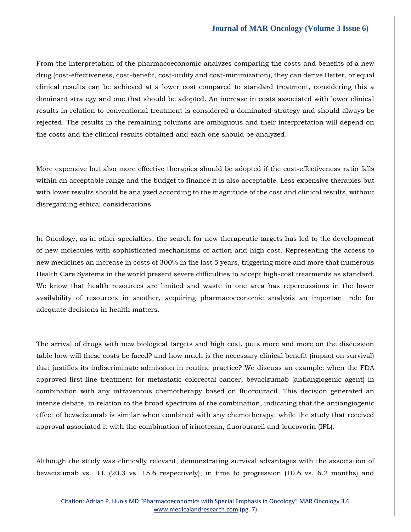From the interpretation of the pharmacoeconomic analyzes comparing the costs and benefits of a new drug (cost-effectiveness, cost-benefit, cost-utility and cost-minimization), they can derive Better, or equal clinical results can be achieved at a lower cost compared to standard treatment, considering this a dominant strategy and one that should be adopted. An increase in costs associated with lower clinical results in relation to conventional treatment is considered a dominated strategy and should always be rejected. The results in the remaining columns are ambiguous and their interpretation will depend on the costs and the clinical results obtained and each one should be analyzed.

More expensive but also more effective therapies should be adopted if the cost-effectiveness ratio falls within an acceptable range and the budget to finance it is also acceptable. Less expensive therapies but with lower results should be analyzed according to the magnitude of the cost and clinical results, without disregarding ethical considerations.

In Oncology, as in other specialties, the search for new therapeutic targets has led to the development of new molecules with sophisticated mechanisms of action and high cost. Representing the access to new medicines an increase in costs of 300% in the last 5 years, triggering more and more that numerous Health Care Systems in the world present severe difficulties to accept high-cost treatments as standard. We know that health resources are limited and waste in one area has repercussions in the lower availability of resources in another, acquiring pharmacoeconomic analysis an important role for adequate decisions in health matters.

The arrival of drugs with new biological targets and high cost, puts more and more on the discussion table how will these costs be faced? and how much is the necessary clinical benefit (impact on survival) that justifies its indiscriminate admission in routine practice? We discuss an example: when the FDA approved first-line treatment for metastatic colorectal cancer, bevacizumab (antiangiogenic agent) in combination with any intravenous chemotherapy based on fluorouracil. This decision generated an intense debate, in relation to the broad spectrum of the combination, indicating that the antiangiogenic effect of bevacizumab is similar when combined with any chemotherapy, while the study that received approval associated it with the combination of irinotecan, fluorouracil and leucovorin (IFL).

Although the study was clinically relevant, demonstrating survival advantages with the association of bevacizumab vs. IFL (20.3 vs. 15.6 respectively), in time to progression (10.6 vs. 6.2 months) and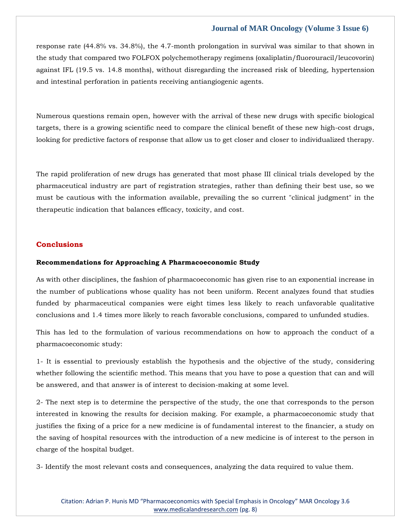response rate (44.8% vs. 34.8%), the 4.7-month prolongation in survival was similar to that shown in the study that compared two FOLFOX polychemotherapy regimens (oxaliplatin/fluorouracil/leucovorin) against IFL (19.5 vs. 14.8 months), without disregarding the increased risk of bleeding, hypertension and intestinal perforation in patients receiving antiangiogenic agents.

Numerous questions remain open, however with the arrival of these new drugs with specific biological targets, there is a growing scientific need to compare the clinical benefit of these new high-cost drugs, looking for predictive factors of response that allow us to get closer and closer to individualized therapy.

The rapid proliferation of new drugs has generated that most phase III clinical trials developed by the pharmaceutical industry are part of registration strategies, rather than defining their best use, so we must be cautious with the information available, prevailing the so current "clinical judgment" in the therapeutic indication that balances efficacy, toxicity, and cost.

# **Conclusions**

#### **Recommendations for Approaching A Pharmacoeconomic Study**

As with other disciplines, the fashion of pharmacoeconomic has given rise to an exponential increase in the number of publications whose quality has not been uniform. Recent analyzes found that studies funded by pharmaceutical companies were eight times less likely to reach unfavorable qualitative conclusions and 1.4 times more likely to reach favorable conclusions, compared to unfunded studies.

This has led to the formulation of various recommendations on how to approach the conduct of a pharmacoeconomic study:

1- It is essential to previously establish the hypothesis and the objective of the study, considering whether following the scientific method. This means that you have to pose a question that can and will be answered, and that answer is of interest to decision-making at some level.

2- The next step is to determine the perspective of the study, the one that corresponds to the person interested in knowing the results for decision making. For example, a pharmacoeconomic study that justifies the fixing of a price for a new medicine is of fundamental interest to the financier, a study on the saving of hospital resources with the introduction of a new medicine is of interest to the person in charge of the hospital budget.

3- Identify the most relevant costs and consequences, analyzing the data required to value them.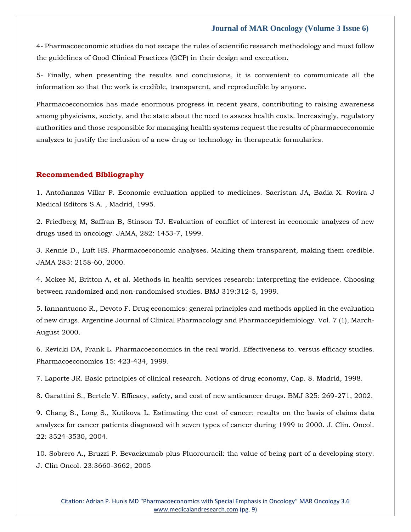4- Pharmacoeconomic studies do not escape the rules of scientific research methodology and must follow the guidelines of Good Clinical Practices (GCP) in their design and execution.

5- Finally, when presenting the results and conclusions, it is convenient to communicate all the information so that the work is credible, transparent, and reproducible by anyone.

Pharmacoeconomics has made enormous progress in recent years, contributing to raising awareness among physicians, society, and the state about the need to assess health costs. Increasingly, regulatory authorities and those responsible for managing health systems request the results of pharmacoeconomic analyzes to justify the inclusion of a new drug or technology in therapeutic formularies.

#### **Recommended Bibliography**

[1. Antoñanzas Villar F. Economic evaluation applied to medicines. Sacristan JA, Badia X. Rovira J](https://www.google.com/search?q=Economic+evaluation+applied+to+medicines&sxsrf=APq-WBuXZNOc12iHJQDrIq5GoPzregZj6Q%3A1649312524172&ei=DINOYoqXCsmY4-EPzeKakAM&ved=0ahUKEwiKzYH5p4H3AhVJzDgGHU2xBjIQ4dUDCA4&oq=Economic+evaluation+applied+to+medicines&gs_lcp=Cgdnd3Mtd2l6EAwyBwghEAoQoAE6BwgjEOoCECdKBAhBGABKBAhGGABQ3gJY3gJgwAZoAXAAeACAAYUBiAGFAZIBAzAuMZgBAKABAaABArABCsABAQ&sclient=gws-wiz)  [Medical Editors S.A. , Madrid, 1995.](https://www.google.com/search?q=Economic+evaluation+applied+to+medicines&sxsrf=APq-WBuXZNOc12iHJQDrIq5GoPzregZj6Q%3A1649312524172&ei=DINOYoqXCsmY4-EPzeKakAM&ved=0ahUKEwiKzYH5p4H3AhVJzDgGHU2xBjIQ4dUDCA4&oq=Economic+evaluation+applied+to+medicines&gs_lcp=Cgdnd3Mtd2l6EAwyBwghEAoQoAE6BwgjEOoCECdKBAhBGABKBAhGGABQ3gJY3gJgwAZoAXAAeACAAYUBiAGFAZIBAzAuMZgBAKABAaABArABCsABAQ&sclient=gws-wiz)

[2. Friedberg M, Saffran B, Stinson TJ. Evaluation of conflict of interest in economic analyzes of new](https://www.google.com/search?q=Evaluation+of+conflict+of+interest+in+economic+analyzes+of+new+drugs+used+in+oncology.&sxsrf=APq-WBtIAOUzMbpgrb9yIt92uhpuFymHGg%3A1649312510582&ei=_oJOYoCUI7GV4-EPqYi6iAM&ved=0ahUKEwiAi8Typ4H3AhWxyjgGHSmEDjEQ4dUDCA4&oq=Evaluation+of+conflict+of+interest+in+economic+analyzes+of+new+drugs+used+in+oncology.&gs_lcp=Cgdnd3Mtd2l6EAw6BwgjEOoCECdKBAhBGABKBAhGGABQ3wVY3wVgsAloAnABeACAAWOIAWOSAQExmAEAoAEBoAECsAEKwAEB&sclient=gws-wiz)  [drugs used in oncology. JAMA, 282: 1453-7, 1999.](https://www.google.com/search?q=Evaluation+of+conflict+of+interest+in+economic+analyzes+of+new+drugs+used+in+oncology.&sxsrf=APq-WBtIAOUzMbpgrb9yIt92uhpuFymHGg%3A1649312510582&ei=_oJOYoCUI7GV4-EPqYi6iAM&ved=0ahUKEwiAi8Typ4H3AhWxyjgGHSmEDjEQ4dUDCA4&oq=Evaluation+of+conflict+of+interest+in+economic+analyzes+of+new+drugs+used+in+oncology.&gs_lcp=Cgdnd3Mtd2l6EAw6BwgjEOoCECdKBAhBGABKBAhGGABQ3wVY3wVgsAloAnABeACAAWOIAWOSAQExmAEAoAEBoAECsAEKwAEB&sclient=gws-wiz)

[3. Rennie D., Luft HS. Pharmacoeconomic analyses. Making them transparent, making them credible.](https://www.google.com/search?q=Pharmacoeconomic+analyses&sxsrf=APq-WButWUbrSPGITDHkI_uGtKOXnoImcA%3A1649312497824&ei=8YJOYrb4MciH4-EPxLeDyAs&ved=0ahUKEwj2tLnsp4H3AhXIwzgGHcTbALkQ4dUDCA4&oq=Pharmacoeconomic+analyses&gs_lcp=Cgdnd3Mtd2l6EAwyBAgAEAoyBAgAEAoyBAgAEAoyBAgAEAoyBAgAEAoyBAgAEAoyBAgAEAoyBAgAEAoyCAgAEBYQChAeMggIABAWEAoQHjoHCCMQ6gIQJ0oECEEYAEoECEYYAFDXAljXAmCTBmgBcAB4AIABYYgBYZIBATGYAQCgAQGgAQKwAQrAAQE&sclient=gws-wiz)  [JAMA 283: 2158-60, 2000.](https://www.google.com/search?q=Pharmacoeconomic+analyses&sxsrf=APq-WButWUbrSPGITDHkI_uGtKOXnoImcA%3A1649312497824&ei=8YJOYrb4MciH4-EPxLeDyAs&ved=0ahUKEwj2tLnsp4H3AhXIwzgGHcTbALkQ4dUDCA4&oq=Pharmacoeconomic+analyses&gs_lcp=Cgdnd3Mtd2l6EAwyBAgAEAoyBAgAEAoyBAgAEAoyBAgAEAoyBAgAEAoyBAgAEAoyBAgAEAoyBAgAEAoyCAgAEBYQChAeMggIABAWEAoQHjoHCCMQ6gIQJ0oECEEYAEoECEYYAFDXAljXAmCTBmgBcAB4AIABYYgBYZIBATGYAQCgAQGgAQKwAQrAAQE&sclient=gws-wiz)

[4. Mckee M, Britton A, et al. Methods in health services research: interpreting the evidence. Choosing](https://www.google.com/search?q=Methods+in+health+services+research%3A+interpreting+the+evidence.+Choosing+between+randomized+and+non-randomised+studies&sxsrf=APq-WBtFurb_SVh_P2AsuaxIXo327LhzwA%3A1649312478741&ei=3oJOYtnlLNqV4-EP0c2egAU&ved=0ahUKEwjZzKzjp4H3AhXayjgGHdGmB1AQ4dUDCA4&oq=Methods+in+health+services+research%3A+interpreting+the+evidence.+Choosing+between+randomized+and+non-randomised+studies&gs_lcp=Cgdnd3Mtd2l6EAwyBwgjEOoCECcyBwgjEOoCECcyBwgjEOoCECcyBwgjEOoCECcyBwgjEOoCECcyBwgjEOoCECcyBwgjEOoCECcyBwgjEOoCECcyBwgjEOoCECcyBwgjEOoCECdKBAhBGABKBAhGGABQkgNYkgNgtQZoAXABeACAAQCIAQCSAQCYAQCgAQGgAQKwAQrAAQE&sclient=gws-wiz)  [between randomized and non-randomised studies. BMJ 319:312-5, 1999.](https://www.google.com/search?q=Methods+in+health+services+research%3A+interpreting+the+evidence.+Choosing+between+randomized+and+non-randomised+studies&sxsrf=APq-WBtFurb_SVh_P2AsuaxIXo327LhzwA%3A1649312478741&ei=3oJOYtnlLNqV4-EP0c2egAU&ved=0ahUKEwjZzKzjp4H3AhXayjgGHdGmB1AQ4dUDCA4&oq=Methods+in+health+services+research%3A+interpreting+the+evidence.+Choosing+between+randomized+and+non-randomised+studies&gs_lcp=Cgdnd3Mtd2l6EAwyBwgjEOoCECcyBwgjEOoCECcyBwgjEOoCECcyBwgjEOoCECcyBwgjEOoCECcyBwgjEOoCECcyBwgjEOoCECcyBwgjEOoCECcyBwgjEOoCECcyBwgjEOoCECdKBAhBGABKBAhGGABQkgNYkgNgtQZoAXABeACAAQCIAQCSAQCYAQCgAQGgAQKwAQrAAQE&sclient=gws-wiz)

[5. Iannantuono R., Devoto F. Drug economics: general principles and methods applied in the evaluation](https://www.google.com/search?q=Drug+economics%3A+general+principles+and+methods+applied+in+the+evaluation+of+new+drugs&sxsrf=APq-WBtYuoiaxxQOhtB_hKD9mA0mpVA8oA%3A1649312464422&ei=0IJOYva7GY-X4-EPnfWIgAs&ved=0ahUKEwj248Lcp4H3AhWPyzgGHZ06ArAQ4dUDCA4&oq=Drug+economics%3A+general+principles+and+methods+applied+in+the+evaluation+of+new+drugs&gs_lcp=Cgdnd3Mtd2l6EAw6BwgjEOoCECdKBAhBGABKBAhGGABQoANYoANgmQZoAXABeACAAWGIAWGSAQExmAEAoAEBoAECsAEKwAEB&sclient=gws-wiz)  [of new drugs. Argentine Journal of Clinical Pharmacology and Pharmacoepidemiology. Vol.](https://www.google.com/search?q=Drug+economics%3A+general+principles+and+methods+applied+in+the+evaluation+of+new+drugs&sxsrf=APq-WBtYuoiaxxQOhtB_hKD9mA0mpVA8oA%3A1649312464422&ei=0IJOYva7GY-X4-EPnfWIgAs&ved=0ahUKEwj248Lcp4H3AhWPyzgGHZ06ArAQ4dUDCA4&oq=Drug+economics%3A+general+principles+and+methods+applied+in+the+evaluation+of+new+drugs&gs_lcp=Cgdnd3Mtd2l6EAw6BwgjEOoCECdKBAhBGABKBAhGGABQoANYoANgmQZoAXABeACAAWGIAWGSAQExmAEAoAEBoAECsAEKwAEB&sclient=gws-wiz) 7 (1), March-[August 2000.](https://www.google.com/search?q=Drug+economics%3A+general+principles+and+methods+applied+in+the+evaluation+of+new+drugs&sxsrf=APq-WBtYuoiaxxQOhtB_hKD9mA0mpVA8oA%3A1649312464422&ei=0IJOYva7GY-X4-EPnfWIgAs&ved=0ahUKEwj248Lcp4H3AhWPyzgGHZ06ArAQ4dUDCA4&oq=Drug+economics%3A+general+principles+and+methods+applied+in+the+evaluation+of+new+drugs&gs_lcp=Cgdnd3Mtd2l6EAw6BwgjEOoCECdKBAhBGABKBAhGGABQoANYoANgmQZoAXABeACAAWGIAWGSAQExmAEAoAEBoAECsAEKwAEB&sclient=gws-wiz)

[6. Revicki DA, Frank L. Pharmacoeconomics in the real world. Effectiveness](https://www.google.com/search?q=Pharmacoeconomics+in+the+real+world.+Effectiveness+to.+versus+efficacy+studies&sxsrf=APq-WBv3lP4ubXZo5bgQ0FHrkuQO83VmpQ%3A1649312441325&ei=uYJOYpzBE_-K4-EPsKmUuAc&ved=0ahUKEwjcgcHRp4H3AhV_xTgGHbAUBXcQ4dUDCA4&oq=Pharmacoeconomics+in+the+real+world.+Effectiveness+to.+versus+efficacy+studies&gs_lcp=Cgdnd3Mtd2l6EAwyBggAEBYQHjoHCCMQ6gIQJ0oECEEYAEoECEYYAFCLA1iLA2DVBmgBcAF4AIABdIgBdJIBAzAuMZgBAKABAaABArABCsABAQ&sclient=gws-wiz) to. versus efficacy studies. [Pharmacoeconomics 15: 423-434, 1999.](https://www.google.com/search?q=Pharmacoeconomics+in+the+real+world.+Effectiveness+to.+versus+efficacy+studies&sxsrf=APq-WBv3lP4ubXZo5bgQ0FHrkuQO83VmpQ%3A1649312441325&ei=uYJOYpzBE_-K4-EPsKmUuAc&ved=0ahUKEwjcgcHRp4H3AhV_xTgGHbAUBXcQ4dUDCA4&oq=Pharmacoeconomics+in+the+real+world.+Effectiveness+to.+versus+efficacy+studies&gs_lcp=Cgdnd3Mtd2l6EAwyBggAEBYQHjoHCCMQ6gIQJ0oECEEYAEoECEYYAFCLA1iLA2DVBmgBcAF4AIABdIgBdJIBAzAuMZgBAKABAaABArABCsABAQ&sclient=gws-wiz)

[7. Laporte JR. Basic principles of clinical research. Notions of drug economy, Cap. 8. Madrid, 1998.](https://www.google.com/search?q=Basic+principles+of+clinical+research.&sxsrf=APq-WBsiuVMd2WnuGq56bLVatk5y3RrOhw%3A1649312423926&ei=p4JOYsGZOOy94-EPwJeA-AY&ved=0ahUKEwiBiZvJp4H3AhXs3jgGHcALAG8Q4dUDCA4&oq=Basic+principles+of+clinical+research.&gs_lcp=Cgdnd3Mtd2l6EAwyBggAEBYQHjIGCAAQFhAeMgYIABAWEB46BwgjEOoCECdKBAhBGABKBAhGGABQqwNYqwNgzQZoAXAAeACAAWCIAWCSAQExmAEAoAEBoAECsAEKwAEB&sclient=gws-wiz)

[8. Garattini S., Bertele V. Efficacy, safety, and cost of new anticancer drugs. BMJ 325: 269-271, 2002.](https://www.google.com/search?q=Efficacy%2C+safety%2C+and+cost+of+new+anticancer+drugs&sxsrf=APq-WBuMZmMvLvKhuWvlUhOJuJUtmUi7hA%3A1649312408585&ei=mIJOYrmrI7GV4-EPqYi6iAM&ved=0ahUKEwi51_LBp4H3AhWxyjgGHSmEDjEQ4dUDCA4&oq=Efficacy%2C+safety%2C+and+cost+of+new+anticancer+drugs&gs_lcp=Cgdnd3Mtd2l6EAwyBwgjEOoCECcyBwgjEOoCECcyBwgjEOoCECcyBwgjEOoCECcyBwgjEOoCECcyBwgjEOoCECcyBwgjEOoCECcyBwgjEOoCECcyBwgjEOoCECcyBwgjEOoCECdKBAhBGABKBAhGGABQlwNYlwNgogdoAXAAeACAAQCIAQCSAQCYAQCgAQGgAQKwAQrAAQE&sclient=gws-wiz)

[9. Chang S., Long S., Kutikova L. Estimating the cost of cancer: results on the basis of claims data](https://www.google.com/search?q=Estimating+the+cost+of+cancer%3A+results+on+the+basis+of+claims+data+analyzes+for+cancer+patients+diagnosed+with+seven+types+of+cancer+during+1999+to+2000&sxsrf=APq-WBvlTulAqmWfyL4vCHg-UIx3YgH31Q%3A1649312393546&ei=iYJOYtvzIKab4-EPlNeT8Ac&ved=0ahUKEwib3Ny6p4H3AhWmzTgGHZTrBH4Q4dUDCA4&oq=Estimating+the+cost+of+cancer%3A+results+on+the+basis+of+claims+data+analyzes+for+cancer+patients+diagnosed+with+seven+types+of+cancer+during+1999+to+2000&gs_lcp=Cgdnd3Mtd2l6EAwyBwgjEOoCECcyBwgjEOoCECcyBwgjEOoCECcyBwgjEOoCECcyBwgjEOoCECcyBwgjEOoCECcyBwgjEOoCECcyBwgjEOoCECcyBwgjEOoCECcyBwgjEOoCECdKBAhBGABKBAhGGABQ0ANY0ANg6AdoAXAAeACAAQCIAQCSAQCYAQCgAQGgAQKwAQrAAQE&sclient=gws-wiz)  [analyzes for cancer patients diagnosed with seven types of cancer during 1999 to 2000. J. Clin. Oncol.](https://www.google.com/search?q=Estimating+the+cost+of+cancer%3A+results+on+the+basis+of+claims+data+analyzes+for+cancer+patients+diagnosed+with+seven+types+of+cancer+during+1999+to+2000&sxsrf=APq-WBvlTulAqmWfyL4vCHg-UIx3YgH31Q%3A1649312393546&ei=iYJOYtvzIKab4-EPlNeT8Ac&ved=0ahUKEwib3Ny6p4H3AhWmzTgGHZTrBH4Q4dUDCA4&oq=Estimating+the+cost+of+cancer%3A+results+on+the+basis+of+claims+data+analyzes+for+cancer+patients+diagnosed+with+seven+types+of+cancer+during+1999+to+2000&gs_lcp=Cgdnd3Mtd2l6EAwyBwgjEOoCECcyBwgjEOoCECcyBwgjEOoCECcyBwgjEOoCECcyBwgjEOoCECcyBwgjEOoCECcyBwgjEOoCECcyBwgjEOoCECcyBwgjEOoCECcyBwgjEOoCECdKBAhBGABKBAhGGABQ0ANY0ANg6AdoAXAAeACAAQCIAQCSAQCYAQCgAQGgAQKwAQrAAQE&sclient=gws-wiz)  [22: 3524-3530, 2004.](https://www.google.com/search?q=Estimating+the+cost+of+cancer%3A+results+on+the+basis+of+claims+data+analyzes+for+cancer+patients+diagnosed+with+seven+types+of+cancer+during+1999+to+2000&sxsrf=APq-WBvlTulAqmWfyL4vCHg-UIx3YgH31Q%3A1649312393546&ei=iYJOYtvzIKab4-EPlNeT8Ac&ved=0ahUKEwib3Ny6p4H3AhWmzTgGHZTrBH4Q4dUDCA4&oq=Estimating+the+cost+of+cancer%3A+results+on+the+basis+of+claims+data+analyzes+for+cancer+patients+diagnosed+with+seven+types+of+cancer+during+1999+to+2000&gs_lcp=Cgdnd3Mtd2l6EAwyBwgjEOoCECcyBwgjEOoCECcyBwgjEOoCECcyBwgjEOoCECcyBwgjEOoCECcyBwgjEOoCECcyBwgjEOoCECcyBwgjEOoCECcyBwgjEOoCECcyBwgjEOoCECdKBAhBGABKBAhGGABQ0ANY0ANg6AdoAXAAeACAAQCIAQCSAQCYAQCgAQGgAQKwAQrAAQE&sclient=gws-wiz)

[10. Sobrero A., Bruzzi P. Bevacizumab plus Fluorouracil: tha value of being part of a developing story.](https://www.google.com/search?q=Bevacizumab+plus+Fluorouracil%3A+tha+value+of+being+part+of+a+developing+story&sxsrf=APq-WBtWPb7xHcqenAqqSFTL4x1iIAGyrg%3A1649312369339&ei=cYJOYqW4FOmf4-EP8PSc-AI&ved=0ahUKEwjltJevp4H3AhXpzzgGHXA6By8Q4dUDCA4&oq=Bevacizumab+plus+Fluorouracil%3A+tha+value+of+being+part+of+a+developing+story&gs_lcp=Cgdnd3Mtd2l6EAw6BwgjEOoCECdKBAhBGABKBAhGGABQ8gJY8gJg7AZoAXABeACAAWOIAWOSAQExmAEAoAEBoAECsAEKwAEB&sclient=gws-wiz)  [J. Clin Oncol. 23:3660-3662, 2005](https://www.google.com/search?q=Bevacizumab+plus+Fluorouracil%3A+tha+value+of+being+part+of+a+developing+story&sxsrf=APq-WBtWPb7xHcqenAqqSFTL4x1iIAGyrg%3A1649312369339&ei=cYJOYqW4FOmf4-EP8PSc-AI&ved=0ahUKEwjltJevp4H3AhXpzzgGHXA6By8Q4dUDCA4&oq=Bevacizumab+plus+Fluorouracil%3A+tha+value+of+being+part+of+a+developing+story&gs_lcp=Cgdnd3Mtd2l6EAw6BwgjEOoCECdKBAhBGABKBAhGGABQ8gJY8gJg7AZoAXABeACAAWOIAWOSAQExmAEAoAEBoAECsAEKwAEB&sclient=gws-wiz)